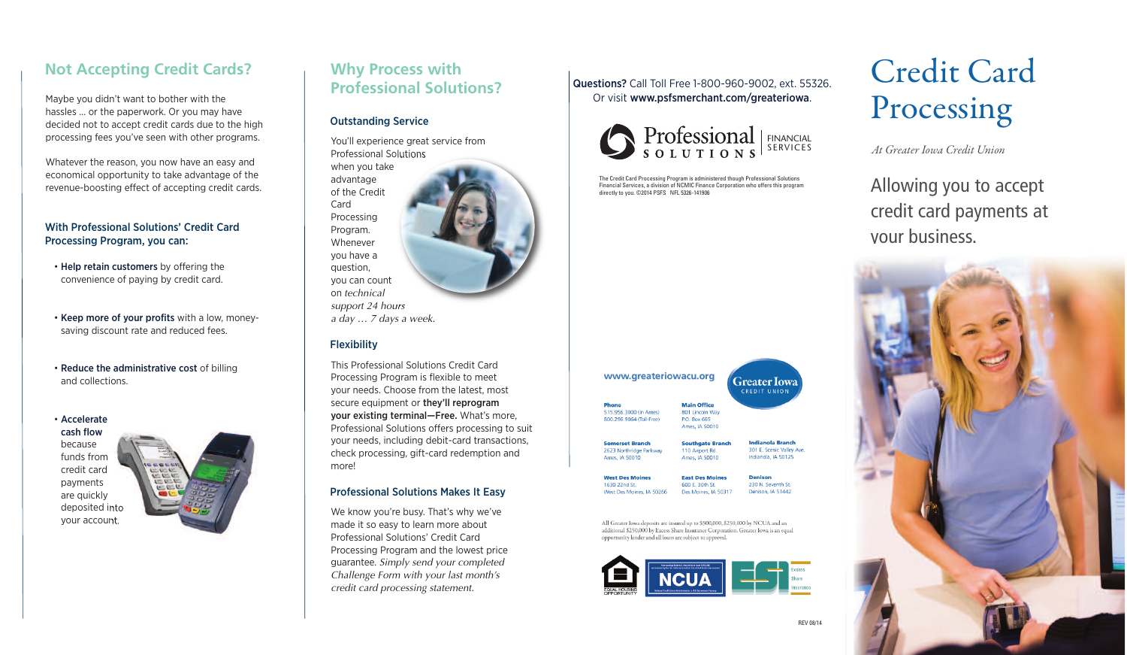# **Not Accepting Credit Cards?**

Maybe you didn't want to bother with the hassles … or the paperwork. Or you may have decided not to accept credit cards due to the high processing fees you've seen with other programs.

Whatever the reason, you now have an easy and economical opportunity to take advantage of the revenue-boosting effect of accepting credit cards.

#### With Professional Solutions' Credit Card Processing Program, you can:

- Help retain customers by offering the convenience of paying by credit card.
- Keep more of your profits with a low, moneysaving discount rate and reduced fees.
- Reduce the administrative cost of billing and collections.

• Accelerate cash flow because funds from credit card payments are quickly deposited into your account.



### **Why Process with Professional Solutions?**

#### Outstanding Service

You'll experience great service from Professional Solutions

when you take advantage of the Credit Card Processing Program. Whenever you have a question, you can count on *technical support 24 hours a day … 7 days a week.*

#### **Flexibility**

This Professional Solutions Credit Card Processing Program is flexible to meet your needs. Choose from the latest, most secure equipment or they'll reprogram your existing terminal—Free. What's more, Professional Solutions offers processing to suit your needs, including debit-card transactions, check processing, gift-card redemption and more!

#### Professional Solutions Makes It Easy

We know you're busy. That's why we've made it so easy to learn more about Professional Solutions' Credit Card Processing Program and the lowest price guarantee. *Simply send your completed Challenge Form with your last month's credit card processing statement.*

#### Questions? Call Toll Free 1-800-960-9002, ext. 55326. Or visit www.psfsmerchant.com/greateriowa.



The Credit Card Processing Program is administered though Professional Solutions Financial Services, a division of NCMIC Finance Corporation who offers this program directly to you. ©2014 PSFS NFL 5326-141906

| www.greateriowacu.org    |                         |  |
|--------------------------|-------------------------|--|
|                          | Gre:                    |  |
|                          |                         |  |
| <b>Phone</b>             | <b>Main Office</b>      |  |
| 515.956.3000 (in Ames)   | 801 Lincoln Way         |  |
| 800.296.9064 (Toll-Free) | P.O. Box 665            |  |
|                          | Ames, IA 50010          |  |
| <b>Somerset Branch</b>   | <b>Southgate Branch</b> |  |
| 2623 Northridge Parkway  | 110 Airport Rd.         |  |
| Ames, IA 50010           | Ames, IA 50010          |  |

ater Iowa **UNION** 

> ianola Branch 1 E. Scenic Valley Ave ianola 14 50125

**West Des Moi** East Des M 1630 22nd St 600 E. 30th St West Des Moines, IA 50266 Des Moines, JA 50311

230 N. Seventh St Denison, IA 51442

All Greater Iowa deposits are insured up to \$500,000, \$250,000 by NCUA and an additional \$250,000 by Excess Share Insurance Corporation. Greater Iowa is an equal opportunity lender and all loans are subject to approval.



# Credit Card Processing

*At Greater Iowa Credit Union*

Allowing you to accept credit card payments at your business.